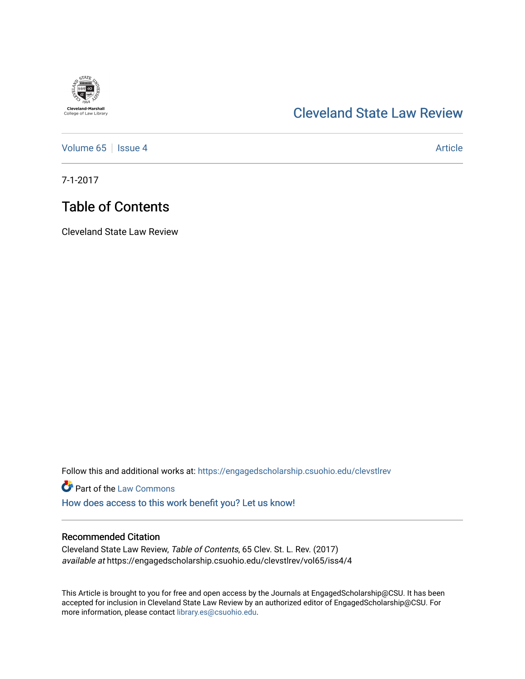# **Cleveland-Marshall**<br>College of Law Library

## [Cleveland State Law Review](https://engagedscholarship.csuohio.edu/clevstlrev)

[Volume 65](https://engagedscholarship.csuohio.edu/clevstlrev/vol65) | [Issue 4](https://engagedscholarship.csuohio.edu/clevstlrev/vol65/iss4) Article

7-1-2017

# Table of Contents

Cleveland State Law Review

Follow this and additional works at: [https://engagedscholarship.csuohio.edu/clevstlrev](https://engagedscholarship.csuohio.edu/clevstlrev?utm_source=engagedscholarship.csuohio.edu%2Fclevstlrev%2Fvol65%2Fiss4%2F4&utm_medium=PDF&utm_campaign=PDFCoverPages)

**Part of the [Law Commons](http://network.bepress.com/hgg/discipline/578?utm_source=engagedscholarship.csuohio.edu%2Fclevstlrev%2Fvol65%2Fiss4%2F4&utm_medium=PDF&utm_campaign=PDFCoverPages)** 

[How does access to this work benefit you? Let us know!](http://library.csuohio.edu/engaged/)

### Recommended Citation

Cleveland State Law Review, Table of Contents, 65 Clev. St. L. Rev. (2017) available at https://engagedscholarship.csuohio.edu/clevstlrev/vol65/iss4/4

This Article is brought to you for free and open access by the Journals at EngagedScholarship@CSU. It has been accepted for inclusion in Cleveland State Law Review by an authorized editor of EngagedScholarship@CSU. For more information, please contact [library.es@csuohio.edu](mailto:library.es@csuohio.edu).